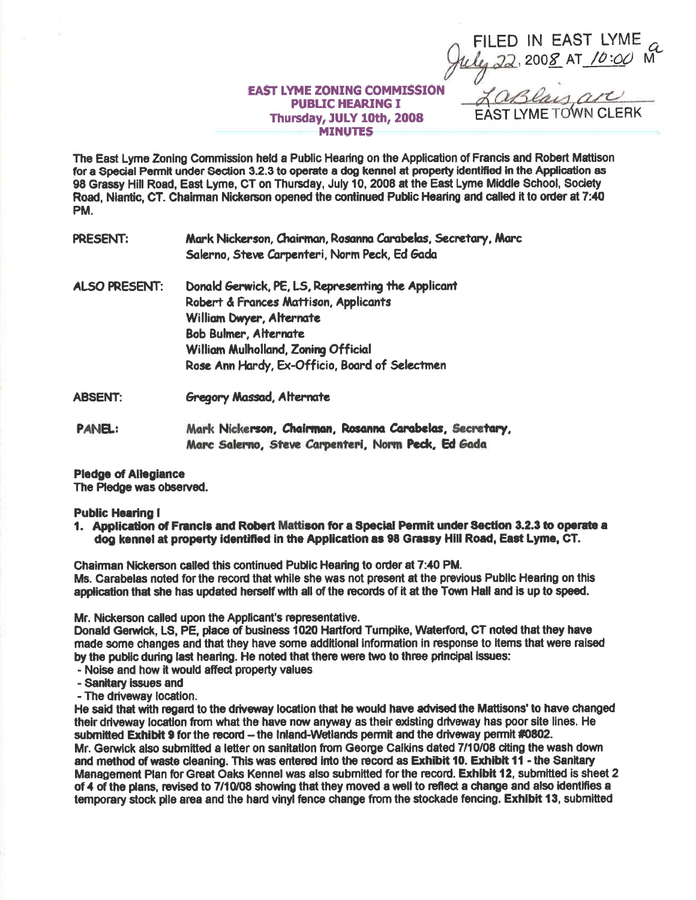## **EAST LYME ZONING COMMISSION PUBLIC HEARING I** Thursday, JULY 10th, 2008 **MINUTES**

FILED IN EAST LYME<br>hely 22, 2008 AT 10:00 M

FAST LYME TOWN CLERK

LaBlay art

The East Lyme Zoning Commission held a Public Hearing on the Application of Francis and Robert Mattison for a Special Permit under Section 3.2.3 to operate a dog kennel at property identified in the Application as 98 Grassy Hill Road, East Lyme, CT on Thursday, July 10, 2008 at the East Lyme Middle School, Society Road, Niantic, CT. Chairman Nickerson opened the continued Public Hearing and called it to order at 7:40 PM.

- **PRESENT:** Mark Nickerson, Chairman, Rosanna Carabelas, Secretary, Marc Salerno, Steve Carpenteri, Norm Peck, Ed Gada
- Donald Gerwick, PE, LS, Representing the Applicant **ALSO PRESENT:** Robert & Frances Mattison, Applicants William Dwyer, Alternate **Bob Bulmer, Alternate** William Mulholland, Zoning Official Rose Ann Hardy, Ex-Officio, Board of Selectmen
- **Gregory Massad, Alternate ABSENT:**
- Mark Nickerson, Chairman, Rosanna Carabelas, Secretary, **PANEL:** Marc Salerno, Steve Carpenteri, Norm Peck, Ed Gada
- **Pledge of Allegiance**

The Pledge was observed.

## **Public Hearing I**

1. Application of Francis and Robert Mattison for a Special Permit under Section 3.2.3 to operate a dog kennel at property identified in the Application as 98 Grassy Hill Road, East Lyme, CT.

Chairman Nickerson called this continued Public Hearing to order at 7:40 PM. Ms. Carabelas noted for the record that while she was not present at the previous Public Hearing on this application that she has updated herself with all of the records of it at the Town Hall and is up to speed.

Mr. Nickerson called upon the Applicant's representative.

Donald Gerwick, LS, PE, place of business 1020 Hartford Turnpike, Waterford, CT noted that they have made some changes and that they have some additional information in response to items that were raised by the public during last hearing. He noted that there were two to three principal issues:

- Noise and how it would affect property values
- Sanitary issues and
- The driveway location.

He said that with regard to the driveway location that he would have advised the Mattisons' to have changed their driveway location from what the have now anyway as their existing driveway has poor site lines. He submitted Exhibit 9 for the record - the Inland-Wetlands permit and the driveway permit #0802. Mr. Gerwick also submitted a letter on sanitation from George Calkins dated 7/10/08 citing the wash down and method of waste cleaning. This was entered into the record as Exhibit 10. Exhibit 11 - the Sanitary Management Plan for Great Oaks Kennel was also submitted for the record. Exhibit 12, submitted is sheet 2 of 4 of the plans, revised to 7/10/08 showing that they moved a well to reflect a change and also identifies a temporary stock pile area and the hard vinyl fence change from the stockade fencing. Exhibit 13, submitted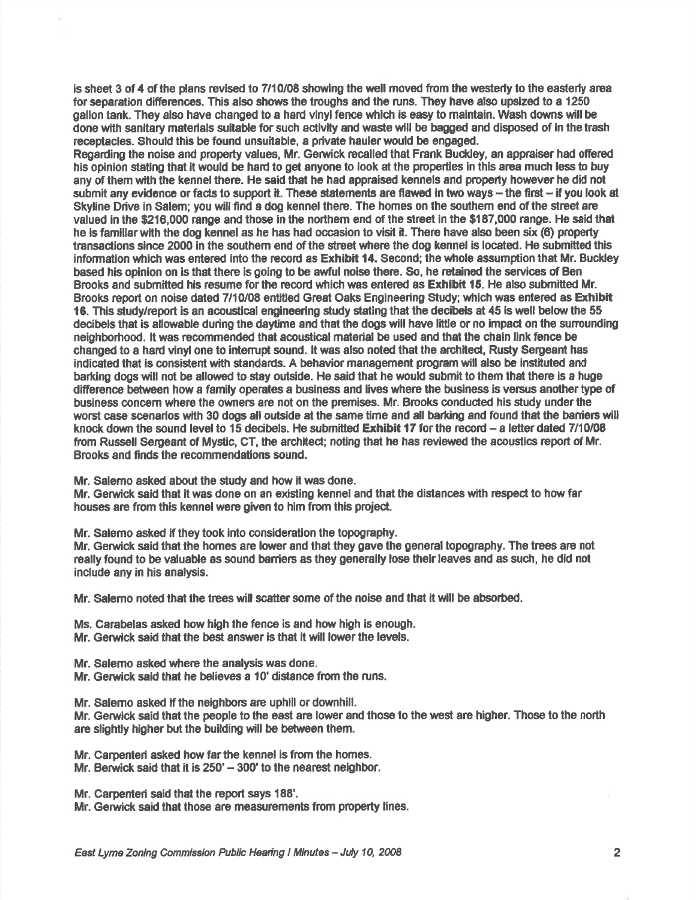is sheet 3 of 4 of the plans revised to 7/10/08 showing the well moved from the westerly to the easterly area for separation differences. This also shows the troughs and the runs. They have elso upsized to a 1250 gallon tank. They also have changed to a hard vinyl fence which is easy to maintain. Wash downs will be done with sanitary materials suitable forsuch activity and waste will be bagged and disposed of ln the trash receptacles. Should this be found unsuitable, a private haulerwould be engaged.

Regading the noise and property values, Mr. Gerwick mcalled that Frank Budcley, an eppraiser had ofiercd his opinion stating that it would be had to get anyone to look at the properties in this aree much less to buy any of them with the kennel there. He said that he had appraised kennels and property however he did not submit any evidence or facts to support it. These statements are flawed in two ways - the first - if you look at Skyline Drive in Salem; you will find a dog kennel there. The homes on the southem end of the street are valued in the \$216,000 range and those in the northem end of the street in the \$187,000 range. He said that he is familiar with the dog kennel as he has had occasion to visit it. There have also been six (6) property transactions since 2000 in the southem end of the street where the dog kennel is located. He submitted this information which was entered into the record as Exhibit 14. Second; the whole assumption that Mr. Buckley based his opinion on is that there is going to be awful noise there. So, he retained the services of Ben Brooks and submitted his resume for the record which was entered as **Exhibit 15.** He also submitted Mr. Brooks report on noise dated 7/10/08 entitled Great Oaks Engineering Study; which was entered as Exhibit 16. This study/report is an acoustical engineering study stating that the decibels at 45 is well below the 55 decibels that is allovable dufing the daytime and that the dogs will have little or no impad on the sunounding neighborhood. lt was reoommended that acoustical material be used and that the ciain link fence be changed to a hard vinyl one to interrupt sound. It was also noted that the architect, Rusty Sergeant has indicated that is consistent with standards. A behavior management program will also be instituted and barking dogs will not be allowed to stay outside. He said that he would submit to them that there is a huge difference between how a family operates a business and lives where the business is versus another type of business eonoem where the owners are not on the premises. Mr. Brooks conduded hls study underthe worst case scenarios with 30 dogs all outside at the same time and all barting and found that the baniers will knock down the sound level to 15 decibels. He submitted Exhibit 17 for the record  $-$  a letter dated 7/10/08 from Russell Sergeant of Mystic, CT, the architect; noting that he has reviewed the acoustics report of Mr. Brooks and finds the recommendations sound.

Mr. Salemo asked about the study and how it was done.

Mr. Gerwick said that it was done on an existing kennel and that the distances with respect to how far houses are from this kennel were given to him from this project.

Mr. Salemo asked if they took into consideration the topography.

Mr. Gerwick said that the homes are lower and that they gave the general topography. The trees are not really found to be valuable as sound barriers as they generally lose their leaves and as such, he did not include any in his analysis.

Mr. Salemo noted that the trees will scatter some of the noise and that it will be absorbed.

Ms. Carabelas asked how high the fence is and how high is enough. Mr. Gerwick said that the best answer is that it will lower the levels.

Mr. Salemo asked where the analysis was done.

Mr. Gerwick said that he believes a 10' distance from the runs.

Mr. Salemo asked if the neighbors are uphill or downhill.

Mr. Gerwick said that the people to the east are lower and those to the west are higher. Those to the north are slightly higher but the building will be between them.

Mr. Carpenteri asked how far the kennel is from the homes.

Mr. Berwick said that it is  $250' - 300'$  to the nearest neighbor.

Mr. Carpenteri said that the report says 188'.

Mr. Gerwick said that those are measurements from property lines.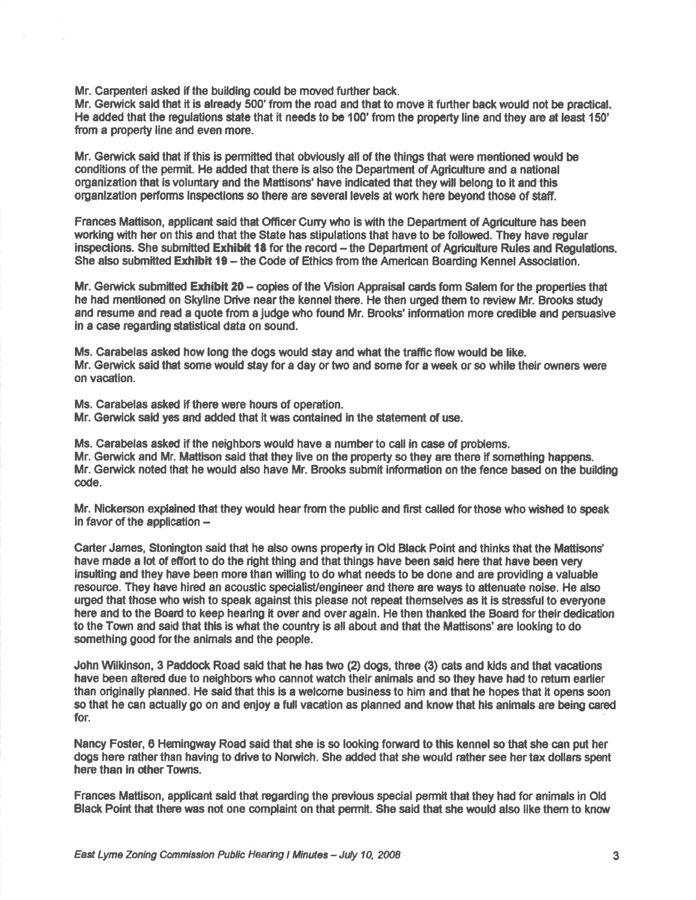Mr. Carpenteri asked if the building could be moved further back.

Mr. Gerwick said that it is already 500' from the road and that to move it further back would not be practical. He added that the regulations state that it needs to be 100' from the property line and they are at least 150' from a property line and even more.

Mr. Gerwick said that if this is permitted that obviously all of the things that were mentioned would be conditions of the permit. He added that there is also the Department of Agriculture and a national organization that is voluntary and the Mattisons' have indicated that they will belong to it and this organization performs inspections so there are several levels at work here beyond those of staff.

Frances Mattison, applicant said that Officer Curry who is with the Department of Agriculture has been working with her on this and that the State has stipulations that have to be followed. They have regular inspections. She submitted Exhibit 18 for the record - the Department of Agriculture Rules and Regulations. She also submitted E<mark>xhibit 19</mark> – the Code of Ethics from the American Boarding Kennel Association

Mr. Gerwick submitted Exhibit 20 - copies of the Vision Appraisal cards form Salem for the properties that he had mentioned on Skyline Drive near the kennel there. He then urged them to review Mr. Brooks study and resume and read a quote from a judge who found Mr. Brooks' information more credible and persuasive in a case regarding statistical data on sound.

Ms. Carabelas asked how long the dogs would stay and what the traffic flow would be like. Mr. Gerwick said that some would stay for a day or two and some for a week or so while their owners were on vacation.

Ms. Carabelas asked if there were hours of operation.

Mr. Gerwick said yes and added that it was contained in the statement of use.

Ms. Carabelas asked if the neighbors would have a number to call in case of problems. Mr. Gerwick and Mr. Mattison said that they live on the property so they are there if something happens. Mr. Gerwick noted that he would also have Mr. Brooks submit information on the fence based on the building code.

Mr. Nickerson explained that they would hear from the public and first called for those who wished to speak in favor of the application  $-$ 

Carter James, Stonington said that he also owns property in Old Black Point and thinks that the Mattisons' have made a lot of effort to do the right thing and that things have been said here that have been very insulting and they have been more than willing to do what needs to be done and are providing a valuable resource. They have hired an acoustic specialist/engineer and there are ways to attenuate noise. He also uryed that those who wish lo speak against this please not repeat themselves as it is slressfulto everyone here and to the Board to keep hearing it over and over again. He then thanked the Board for their dedication to the Town and said that this is what the country is all about and that the Mattisons' are looking to do something good for the animals and the people.

John Wilkinson, 3 Paddock Road said that he has two (2) dogs, three (3) cats and kids and that vacations have been aftered due to neighbors who cannot watch thelr animals and so they have had to retum earlier than originally planned. He said that this is a welcome business to him and that he hopee that lt opens soon so that he can actually go on and enjoy a full vacation as planned and know that his animals are being cared for.

Nancy Foster, 6 Hemingway Road said thet she is so lookirg foruad to this kennel so that she can put her dogs here rather than having to drive to Norwich. She added that she would rather see her tax dollars spent here than in other Towns.

Frances Mattison, applicant said thet regading the previous special permit that they had for animals in Otd Black Point that there was not one complaint on that permit. She said that she would also like them to know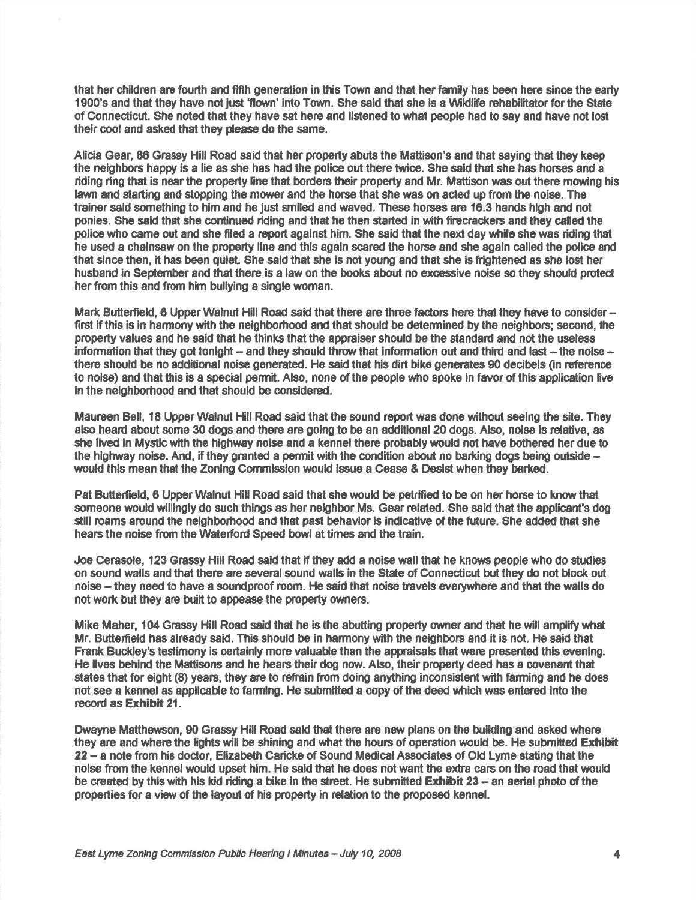that her children are fourth and fifth generation in this Town and that her family has been here since the early 1900's and that they have not just 'flown' into Town. She said that she is a Wildlife rehabilitator for the State of Connecticut. She noted that they have sat here and listened to what people had to say and have not lost their cool and asked that they please do the same.

Alicia Gear, 86 Grassy Hill Road said that her property abuts the Mattison's and that saying that they keep the neighbors happy is a lie as she has had the police out there twice. She said that she has horses and a riding ring that is near the property line that borders their property and Mr. Mattison was out there mowing his lawn and starting and stopping the mower and the horse that she was on acted up from the noise. The trainer said something to him and he just smiled and waved. These horses are 16.3 hands high and not ponies. She said that she continued fding and that he then started in with firecrackers and they called the police who came out and she filed a report against him. She said that the next day while she was riding that he used a chainsaw on the property line and this again scared the horse and she again called the police and that since then, it has been quiet. She said that she is not young and that she is fightened as she lost her husband in September and that there is a law on the books about no excessive noise so they should protect her from this and from him bullying a single woman.

Mark Butterfield, 6 Upper Walnut Hill Road said that there are three factors here that they have to consider first if this is in harmony with the neighborhood and that should be determined by the neighbors; second, the property values and he said that he thinks that the appraiser should be the standard and not the useless information that they got tonight – and they should throw that information out and third and last – the noise – there should be no additional noise generated. He said that hls dirt bike generates 90 decibels (in reference to nolse) and that this is a special permit. Also, none of the people who spoke in favor of this application live in the neighbofiood and that should be consldered.

Maureen Bell, 18 Upper Walnut Hill Road said that the sound report was done without seeing the site. They also heard about some 30 dogs and there are going to be an additional 20 dogs. Also, noise is relalive, as she lived in Mystic with the highway noise and a kennel there probably would not have bothered her due to the highway noise. And, if they granted a permit with the condition about no barking dogs being outside  $$ would thls mean that the Zoning Commission would issue a Cease & Desist when they barted.

Pat Butterfield, 6 Upper Walnut Hill Road said that she would be petrified to be on her horse to know that someone would willingly do such things as her neighbor Ms. Gear related. She said that the applicant's dog still roams around the neighborhood and that past behavior is indicative of the future. She added that she hears the noise from the Waterford Speed bowl at times and the train.

Joe Cerasole, 123 Grassy Hill Road said that if they add a noise wall that he knows people who do studies on sound walls and that there are several sound walls in the State of Connecticut but they do not block out noise - they need to have e soundproof room. He said that noise travels everyrvhere and that the walls do not wort but they are built to appease the property owners.

Mike Maher, 104 Grassy Hill Road said that he is the abutting property owner and that he will amplify what Mr. Butterfield has already said. This should be in harmony with the neighbors and it is not. He said that Frank Buckley's testimony is certainly more valuable than the appraisals that were presented this evening. He lives behind the Mattisons and he hears their dog now. Also, their property deed has a covenant that states that for eight (8) years, they are to refrain from doing anything inconsistent with farming and he does not see a kennel as applicable to faming. He submitted a copy of the deed which was entered into the record as Exhibit 21.

Dwayne Matthewson, 90 Grassy Hill Road said that there are new plans on the building and asked where they are and where the lights will be shining and what the hours of operation would be. He submitted Exhibit 22 - a note from his doctor, Elizabeth Caricke of Sound Medical Associates of Old Lyme stating that the noise from the kennel would upset him. He said that he does not want the extra cars on the road that would be created by this with his kid riding a bike in the street. He submitted Exhibit 23 - an aerial photo of the properties for a view of the layout of his property in relation to the proposed kennel.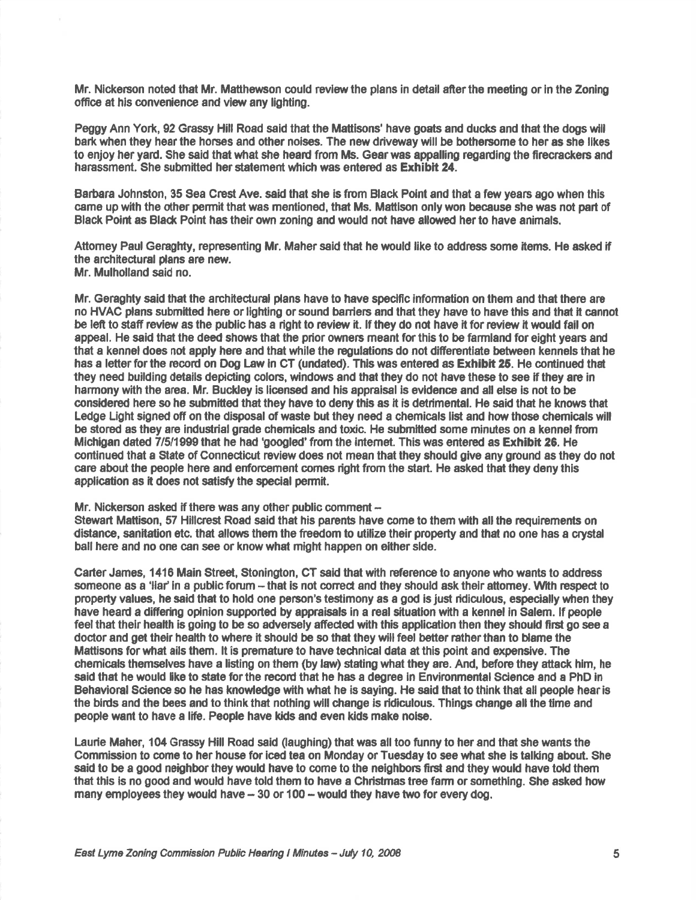Mr. Nickerson noted that Mr. Matthewson could review the plans in detail after the meeting or in the Zoning office at his convenience and view any lighting.

Peggy Ann York, 92 Grassy Hill Road said that the Mattisons' have goats and ducks and that the dogs will bark when they hear the horses and other noises. The new driveway will be bothersome to her as she likes to enjoy her yard. She said that what she heard from Ms. Gear was appalling regarding the firecrackers and harassment. She submitted her statement which was entered as Exhibit 24.

Barbara Johnston, 35 Sea Crest Ave. said that she is from Black Point and that a few years ago when this came up with the other permit that was mentioned, that Ms. Mattison only won because she was not part of Black Point as Black Point has their own zoning and would not have allowed her to have animals.

Attorney Paul Geraghty, representing Mr. Maher said that he would like to address some items. He asked if the architectural plans are new. Mr. Mulholland said no.

Mr. Geraghty said that the architectural plans have to have specific information on them and that there are no HVAC plans submitted here or lighting or sound baniers and that they have to have thls and that it cannot be left to staff review as the public has a right to review it. If they do not have it for review it would fail on appeal. He said that the deed shows that the prior owners meant for this to be farmland for eight years and that a kennel does not apply here and that while the regulations do not difierentiate betyveen kennels thet he has a letter for the record on Dog Law in CT (undated). This was entered as Exhibit 25. He continued that they need building details depicting colors, windows and that they do not have these to see if they are in harmony with the area. Mr. Buckley is licensed and his appraisal is evldence and all else is not to be considered here so he submitted that they have to deny this as it is detrimental. He said that he knows that Ledge Light signed off on the disposal of waste but they need a chemicals list and how those chemicals will be stored as they are industrial grade chemicals and toxic. He submitted some minutes on a kennel from Michigan dated 7/5/1999 that he had 'googled' from the internet. This was entered as Exhibit 26. He continued that a State of Connecticut review does not mean that they should give any ground as they do not care about the people here and enforcement comes right from the start. He asked that they deny this application as it does not satisfy the special permit.

## Mr. Nickerson asked if there was any other public comment  $-$

Stewart Mattison, 57 Hillcrest Road said that his parents have come to them with all the requirements on distance, sanitation etc. that allows them the fieedom to utilize their property end thet no one has a crystal ball here and no one can see or know what might happen on either slde.

Carter James, 1416 Main Street, Stonington, CT said that with reference to anyone who wants to address someone as a 'liar' in a public forum – that is not correct and they should ask their attorney. With respect to property values, he said that to hold one person's testimony as a god is just ridiculous, especially when they have heard a differing opinion supported by appraisals in a real situation with a kennel in Salem. If people feel that their health is going to be so adversely affected with this application then they should first go see a doctor and get their health to where it should be so that they will feel better rather than to blame the Mattisons for what ails them. It is premature to have technical data at this point and expensive. The chemicals themselves have a lisiting on them (by law) stating what they arc. And, before they atack hlm, he said that he would like to state for the record that he has a degree in Environmental Science and a PhD in Behavioral Science so he has knowledge with what he is saying. He said that to think that all people hear is the blrds and the bees and to think that nothing will change is ridiculous. Things change all the time and people want to have a life. People have kids and even kids make noise.

Laurle Maher, 104 Grassy Hill Road said (aughing) that wes all too funny to her and that she wants the Commission to come to her house for iced tea on Monday or Tuesday to see what she is talking about. She said to be a good neighbor they would have to come to the neighbors first and they would have told them that this is no good and would have told them to have a Christmas tree farm or something. She asked how many employees they would have  $-30$  or 100  $-$  would they have two for every dog.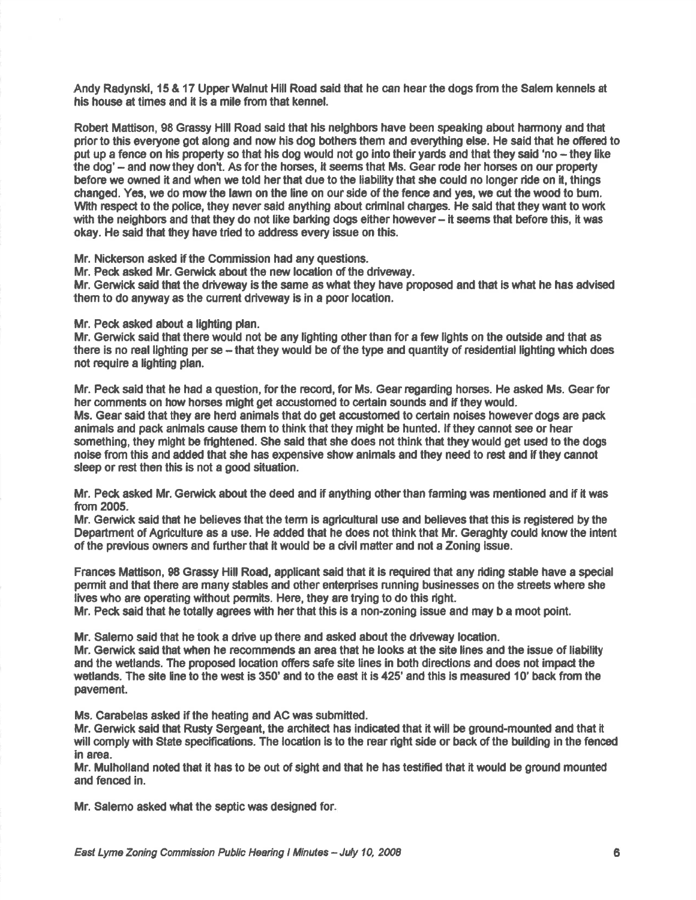Andy Radynskl, 15 & 17 UpperWalnut Hill Road said that he can hearthe dogs from the Salem kennels at his house at times and it is a mile from that kennel.

Robert Mattison, 98 Grassy Hill Road said that his nelghbors have been speaking about harmony and that prior to this everyone got along and now his dog bothers them and everything else. He said that he offered to put up a fence on his property so that his dog would not go into their yards and that they said 'no – they like the dog' - and now they don't. As for the horses, it seems that Ms. Gear rode her horses on our property before we owned it and when we told her that due to the liability that she could no longer ride on it, things changed. Yes, we do mow the lawn on the line on our side of the fence and yes, we cut the wood to bum. With respect to the police, they never said anything about criminal charges. He said that they want to work with the neighbors and that they do not like barking dogs either however - it seems that before this, it was okay. He said that they have tried to address every issue on this.

Mr. Nickerson asked if the Commission had any questions.

Mr. Peck asked Mr. Gerwick about the new location of the driveway.

Mr. Gerwick said that the driveway is the same as what they have proposed and that is what he has advised them to do anyway as the current driveway is in a poor location.

Mr. Peck asked about a lighting plan.

Mr. Gerwick said that there would not be any lighting other than for a few lights on the outside and that as there is no real lighting per se – that they would be of the type and quantity of residential lighting which does not require a lighting plan.

Mr. Peck said that he had a question, for the record, for Ms. Gear regarding horses. He asked Ms. Gear for her comments on how horses might get accustomed to certain sounds and if they would. Ms. Gear said that they are herd animals that do get accustomed to certain noises however dogs are pack animals and pack animals cause them to think that they might be hunted. If they cannot see or hear something, they might be fiightened. She said that she does not think that they would get used to the dogs noise from this and added that she has expensive show animals and they need to rest and if they cannot sleep or rest then this is not a good situation.

Mr. Peck asked Mr. Gerwick about the deed and if anything other than farming was mentioned and if it was from 2005.

Mr. Gerwick said that he believes that the term is agricultural use and believes that this is registered by the Department of Agriculture as a use. He added that he does not think that Mr. Geraghty could know the intent of the previous owners and further that it would be a civil matter and not a Zoning issue.

Frances Mattison, 98 Grassy Hill Road, applicant said that it is required that any riding stable have a special permit and that there are many stables and other enterprises runnlng businesses on the streets whore she lives who are operating without permits. Here, they are trying to do this right.

Mr. Peck said that he totally agrees with her that this is a non-zoning issue and may b a moot point.

Mr. Salemo said that he took a drive up there and asked about the driveway location.

Mr. Gerwick said thet when he recommends en aroa that he looks at the site lines and the issue of liability and the wetlands. The proposed location offers safe site lines in both directions and does not impact the wetlands. The site line to the west is 350' and to the east it is 425' and this is measured 10' back from the pavement.

Ms. Canabelas asked if the heating and AC was submitted.

Mr. Gerwick said that Rusty Sergeant, the architect has indicated that it will be ground-mounted and that it will comply with State specifications. The location is to the rear right side or back of the building in the fenced in area.

Mr. Mulholland noted thet it has to be out of sight end that he has testifed that it uould be ground mounted and fenced in.

Mr. Salemo asked what the septic was designed for.